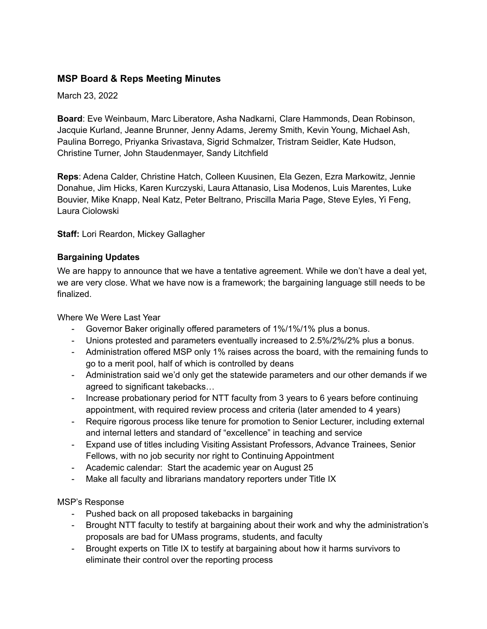# **MSP Board & Reps Meeting Minutes**

March 23, 2022

**Board**: Eve Weinbaum, Marc Liberatore, Asha Nadkarni, Clare Hammonds, Dean Robinson, Jacquie Kurland, Jeanne Brunner, Jenny Adams, Jeremy Smith, Kevin Young, Michael Ash, Paulina Borrego, Priyanka Srivastava, Sigrid Schmalzer, Tristram Seidler, Kate Hudson, Christine Turner, John Staudenmayer, Sandy Litchfield

**Reps**: Adena Calder, Christine Hatch, Colleen Kuusinen, Ela Gezen, Ezra Markowitz, Jennie Donahue, Jim Hicks, Karen Kurczyski, Laura Attanasio, Lisa Modenos, Luis Marentes, Luke Bouvier, Mike Knapp, Neal Katz, Peter Beltrano, Priscilla Maria Page, Steve Eyles, Yi Feng, Laura Ciolowski

**Staff:** Lori Reardon, Mickey Gallagher

### **Bargaining Updates**

We are happy to announce that we have a tentative agreement. While we don't have a deal yet, we are very close. What we have now is a framework; the bargaining language still needs to be finalized.

Where We Were Last Year

- Governor Baker originally offered parameters of 1%/1%/1% plus a bonus.
- Unions protested and parameters eventually increased to 2.5%/2%/2% plus a bonus.
- Administration offered MSP only 1% raises across the board, with the remaining funds to go to a merit pool, half of which is controlled by deans
- Administration said we'd only get the statewide parameters and our other demands if we agreed to significant takebacks…
- Increase probationary period for NTT faculty from 3 years to 6 years before continuing appointment, with required review process and criteria (later amended to 4 years)
- Require rigorous process like tenure for promotion to Senior Lecturer, including external and internal letters and standard of "excellence" in teaching and service
- Expand use of titles including Visiting Assistant Professors, Advance Trainees, Senior Fellows, with no job security nor right to Continuing Appointment
- Academic calendar: Start the academic year on August 25
- Make all faculty and librarians mandatory reporters under Title IX

## MSP's Response

- Pushed back on all proposed takebacks in bargaining
- Brought NTT faculty to testify at bargaining about their work and why the administration's proposals are bad for UMass programs, students, and faculty
- Brought experts on Title IX to testify at bargaining about how it harms survivors to eliminate their control over the reporting process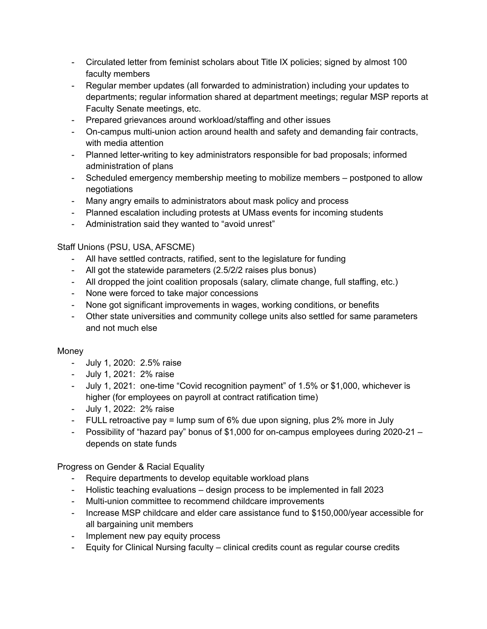- Circulated letter from feminist scholars about Title IX policies; signed by almost 100 faculty members
- Regular member updates (all forwarded to administration) including your updates to departments; regular information shared at department meetings; regular MSP reports at Faculty Senate meetings, etc.
- Prepared grievances around workload/staffing and other issues
- On-campus multi-union action around health and safety and demanding fair contracts, with media attention
- Planned letter-writing to key administrators responsible for bad proposals; informed administration of plans
- Scheduled emergency membership meeting to mobilize members postponed to allow negotiations
- Many angry emails to administrators about mask policy and process
- Planned escalation including protests at UMass events for incoming students
- Administration said they wanted to "avoid unrest"

Staff Unions (PSU, USA, AFSCME)

- All have settled contracts, ratified, sent to the legislature for funding
- All got the statewide parameters (2.5/2/2 raises plus bonus)
- All dropped the joint coalition proposals (salary, climate change, full staffing, etc.)
- None were forced to take major concessions
- None got significant improvements in wages, working conditions, or benefits
- Other state universities and community college units also settled for same parameters and not much else

## Money

- July 1, 2020: 2.5% raise
- July 1, 2021: 2% raise
- July 1, 2021: one-time "Covid recognition payment" of 1.5% or \$1,000, whichever is higher (for employees on payroll at contract ratification time)
- July 1, 2022: 2% raise
- FULL retroactive pay  $=$  lump sum of 6% due upon signing, plus 2% more in July
- Possibility of "hazard pay" bonus of \$1,000 for on-campus employees during 2020-21 depends on state funds

Progress on Gender & Racial Equality

- Require departments to develop equitable workload plans
- Holistic teaching evaluations design process to be implemented in fall 2023
- Multi-union committee to recommend childcare improvements
- Increase MSP childcare and elder care assistance fund to \$150,000/year accessible for all bargaining unit members
- Implement new pay equity process
- Equity for Clinical Nursing faculty clinical credits count as regular course credits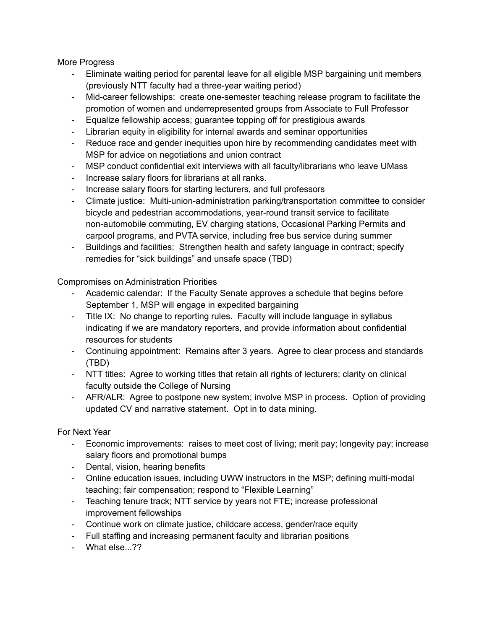More Progress

- Eliminate waiting period for parental leave for all eligible MSP bargaining unit members (previously NTT faculty had a three-year waiting period)
- Mid-career fellowships: create one-semester teaching release program to facilitate the promotion of women and underrepresented groups from Associate to Full Professor
- Equalize fellowship access; guarantee topping off for prestigious awards
- Librarian equity in eligibility for internal awards and seminar opportunities
- Reduce race and gender inequities upon hire by recommending candidates meet with MSP for advice on negotiations and union contract
- MSP conduct confidential exit interviews with all faculty/librarians who leave UMass
- Increase salary floors for librarians at all ranks.
- Increase salary floors for starting lecturers, and full professors
- Climate justice: Multi-union-administration parking/transportation committee to consider bicycle and pedestrian accommodations, year-round transit service to facilitate non-automobile commuting, EV charging stations, Occasional Parking Permits and carpool programs, and PVTA service, including free bus service during summer
- Buildings and facilities: Strengthen health and safety language in contract; specify remedies for "sick buildings" and unsafe space (TBD)

Compromises on Administration Priorities

- Academic calendar: If the Faculty Senate approves a schedule that begins before September 1, MSP will engage in expedited bargaining
- Title IX: No change to reporting rules. Faculty will include language in syllabus indicating if we are mandatory reporters, and provide information about confidential resources for students
- Continuing appointment: Remains after 3 years. Agree to clear process and standards (TBD)
- NTT titles: Agree to working titles that retain all rights of lecturers; clarity on clinical faculty outside the College of Nursing
- AFR/ALR: Agree to postpone new system; involve MSP in process. Option of providing updated CV and narrative statement. Opt in to data mining.

For Next Year

- Economic improvements: raises to meet cost of living; merit pay; longevity pay; increase salary floors and promotional bumps
- Dental, vision, hearing benefits
- Online education issues, including UWW instructors in the MSP; defining multi-modal teaching; fair compensation; respond to "Flexible Learning"
- Teaching tenure track; NTT service by years not FTE; increase professional improvement fellowships
- Continue work on climate justice, childcare access, gender/race equity
- Full staffing and increasing permanent faculty and librarian positions
- What else...??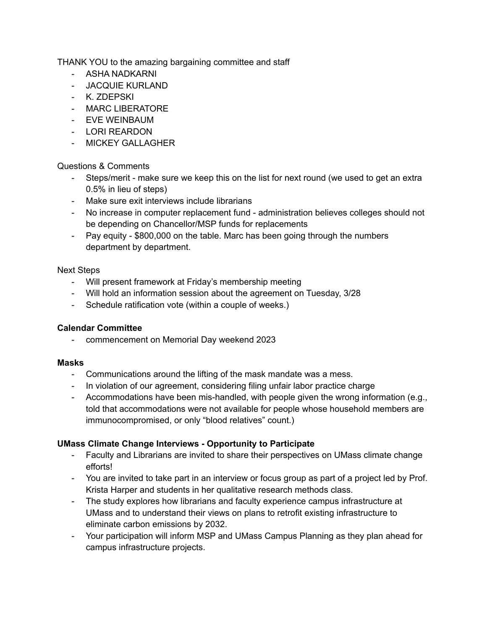THANK YOU to the amazing bargaining committee and staff

- ASHA NADKARNI
- JACQUIE KURLAND
- K. ZDEPSKI
- MARC LIBERATORE
- EVE WEINBAUM
- LORI REARDON
- MICKEY GALLAGHER

## Questions & Comments

- Steps/merit make sure we keep this on the list for next round (we used to get an extra 0.5% in lieu of steps)
- Make sure exit interviews include librarians
- No increase in computer replacement fund administration believes colleges should not be depending on Chancellor/MSP funds for replacements
- Pay equity \$800,000 on the table. Marc has been going through the numbers department by department.

### Next Steps

- Will present framework at Friday's membership meeting
- Will hold an information session about the agreement on Tuesday, 3/28
- Schedule ratification vote (within a couple of weeks.)

#### **Calendar Committee**

- commencement on Memorial Day weekend 2023

#### **Masks**

- Communications around the lifting of the mask mandate was a mess.
- In violation of our agreement, considering filing unfair labor practice charge
- Accommodations have been mis-handled, with people given the wrong information (e.g., told that accommodations were not available for people whose household members are immunocompromised, or only "blood relatives" count.)

## **UMass Climate Change Interviews - Opportunity to Participate**

- Faculty and Librarians are invited to share their perspectives on UMass climate change efforts!
- You are invited to take part in an interview or focus group as part of a project led by Prof. Krista Harper and students in her qualitative research methods class.
- The study explores how librarians and faculty experience campus infrastructure at UMass and to understand their views on plans to retrofit existing infrastructure to eliminate carbon emissions by 2032.
- Your participation will inform MSP and UMass Campus Planning as they plan ahead for campus infrastructure projects.